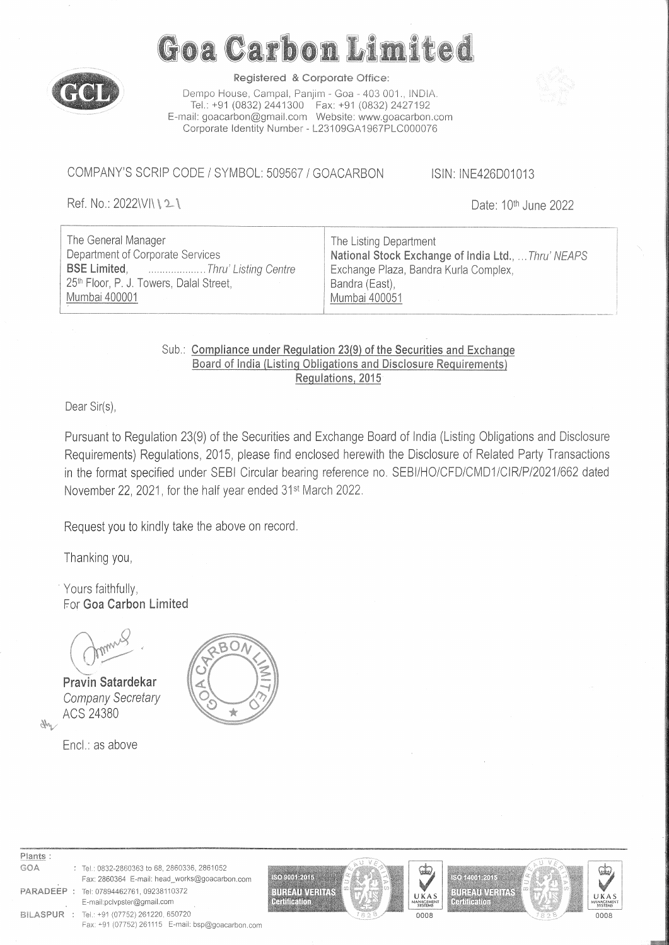

# Goa Carbon Limited

Registered & Corporate Office:

Dempo House, Campal, Panjim - Goa - 403 001., INDIA. Tel.: +91 (0832) 2441300 Fax: +91 (0832) 2427192 E-mail: goacarbon@gmail.comWebsite: www.goacarbon.com Corporate Identity Number - L23109GA1967PLC000076

COMPANY'S SCRIP CODE / SYMBOL: 509567 / GOACARBON ISIN: INE426D01013

Ref. No.: 2022\//\\text{\left\} 2 \text{\left\} 10th June 2022

| The General Manager                                                    | The Listing Department                              |  |  |  |  |  |  |  |  |  |  |
|------------------------------------------------------------------------|-----------------------------------------------------|--|--|--|--|--|--|--|--|--|--|
| Department of Corporate Services                                       | National Stock Exchange of India Ltd.,  Thru' NEAPS |  |  |  |  |  |  |  |  |  |  |
| <b>BSE Limited, Changeling Centre in the SSE Limited, Communisties</b> | Exchange Plaza, Bandra Kurla Complex,               |  |  |  |  |  |  |  |  |  |  |
| 25th Floor, P. J. Towers, Dalal Street,                                | Bandra (East),                                      |  |  |  |  |  |  |  |  |  |  |
| Mumbai 400001                                                          | Mumbai 400051                                       |  |  |  |  |  |  |  |  |  |  |
|                                                                        |                                                     |  |  |  |  |  |  |  |  |  |  |

# Sub.: Compliance under Regulation 23(9) of the Securities and Exchange Board of India (Listing Obligations and Disclosure Requirements) Regulations, 2015

Dear Sir(s),

Pursuant to Regulation 23(9) of the Securities and Exchange Board of India (Listing Obligations and Disclosure Requirements) Regulations, 2015, please find enclosed herewith the Disclosure of Related Party Transactions in the format specified under SEBI Circular bearing reference no. SEBI/HO/CFD/CMD1/CIR/P/2021/662 dated November 22, 2021, for the half year ended 31st March 2022.

Request you to kindly take the above on record.

Thanking you,

Yours faithfully, For **Goa Carbon** Limited



Pravin Satardekar Company Secretary ACS 24380

Ntv

Encl.: as above



#### Plants : GOA : Tel.: 0832-2860363 to 68, 2860336, 2861052

- 
- Fax: 2860364 E-mail: head\_works@goacarbon.com PARADEEP : Tel: 07894462761, 09238110372 E-mail:pclvpster@gmail.com BILASPUR : Tel.: +91 (07752) 261220. 650720











0008